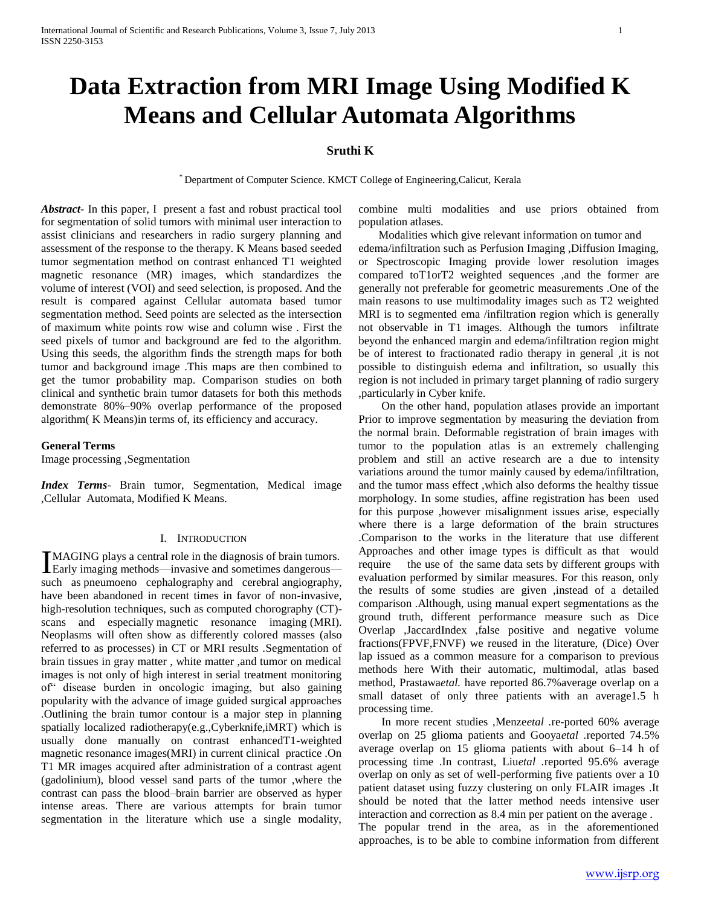# **Data Extraction from MRI Image Using Modified K Means and Cellular Automata Algorithms**

# **Sruthi K**

\* Department of Computer Science. KMCT College of Engineering,Calicut, Kerala

*Abstract***-** In this paper, I present a fast and robust practical tool for segmentation of solid tumors with minimal user interaction to assist clinicians and researchers in radio surgery planning and assessment of the response to the therapy. K Means based seeded tumor segmentation method on contrast enhanced T1 weighted magnetic resonance (MR) images, which standardizes the volume of interest (VOI) and seed selection, is proposed. And the result is compared against Cellular automata based tumor segmentation method. Seed points are selected as the intersection of maximum white points row wise and column wise . First the seed pixels of tumor and background are fed to the algorithm. Using this seeds, the algorithm finds the strength maps for both tumor and background image .This maps are then combined to get the tumor probability map. Comparison studies on both clinical and synthetic brain tumor datasets for both this methods demonstrate 80%–90% overlap performance of the proposed algorithm( K Means)in terms of, its efficiency and accuracy.

#### **General Terms**

Image processing ,Segmentation

*Index Terms*- Brain tumor, Segmentation, Medical image ,Cellular Automata, Modified K Means.

#### I. INTRODUCTION

MAGING plays a central role in the diagnosis of brain tumors. Early imaging methods—invasive and sometimes dangerous— Isuch as pneumoeno cephalography and cerebral angiography, have been abandoned in recent times in favor of non-invasive, high-resolution techniques, such as computed chorography (CT) scans and especially magnetic resonance imaging (MRI). Neoplasms will often show as differently colored masses (also referred to as processes) in CT or MRI results .Segmentation of brain tissues in gray matter , white matter ,and tumor on medical images is not only of high interest in serial treatment monitoring of― disease burden in oncologic imaging, but also gaining popularity with the advance of image guided surgical approaches .Outlining the brain tumor contour is a major step in planning spatially localized radiotherapy(e.g.,Cyberknife,iMRT) which is usually done manually on contrast enhancedT1-weighted magnetic resonance images(MRI) in current clinical practice .On T1 MR images acquired after administration of a contrast agent (gadolinium), blood vessel sand parts of the tumor ,where the contrast can pass the blood–brain barrier are observed as hyper intense areas. There are various attempts for brain tumor segmentation in the literature which use a single modality,

combine multi modalities and use priors obtained from population atlases.

 Modalities which give relevant information on tumor and edema/infiltration such as Perfusion Imaging ,Diffusion Imaging, or Spectroscopic Imaging provide lower resolution images compared toT1orT2 weighted sequences ,and the former are generally not preferable for geometric measurements .One of the main reasons to use multimodality images such as T2 weighted MRI is to segmented ema /infiltration region which is generally not observable in T1 images. Although the tumors infiltrate beyond the enhanced margin and edema/infiltration region might be of interest to fractionated radio therapy in general ,it is not possible to distinguish edema and infiltration, so usually this region is not included in primary target planning of radio surgery ,particularly in Cyber knife.

 On the other hand, population atlases provide an important Prior to improve segmentation by measuring the deviation from the normal brain. Deformable registration of brain images with tumor to the population atlas is an extremely challenging problem and still an active research are a due to intensity variations around the tumor mainly caused by edema/infiltration, and the tumor mass effect ,which also deforms the healthy tissue morphology. In some studies, affine registration has been used for this purpose ,however misalignment issues arise, especially where there is a large deformation of the brain structures .Comparison to the works in the literature that use different Approaches and other image types is difficult as that would require the use of the same data sets by different groups with evaluation performed by similar measures. For this reason, only the results of some studies are given ,instead of a detailed comparison .Although, using manual expert segmentations as the ground truth, different performance measure such as Dice Overlap ,JaccardIndex ,false positive and negative volume fractions(FPVF,FNVF) we reused in the literature, (Dice) Over lap issued as a common measure for a comparison to previous methods here With their automatic, multimodal, atlas based method, Prastawa*etal.* have reported 86.7%average overlap on a small dataset of only three patients with an average1.5 h processing time.

 In more recent studies ,Menze*etal .*re-ported 60% average overlap on 25 glioma patients and Gooya*etal .*reported 74.5% average overlap on 15 glioma patients with about 6–14 h of processing time .In contrast, Liu*etal .*reported 95.6% average overlap on only as set of well-performing five patients over a 10 patient dataset using fuzzy clustering on only FLAIR images .It should be noted that the latter method needs intensive user interaction and correction as 8.4 min per patient on the average . The popular trend in the area, as in the aforementioned approaches, is to be able to combine information from different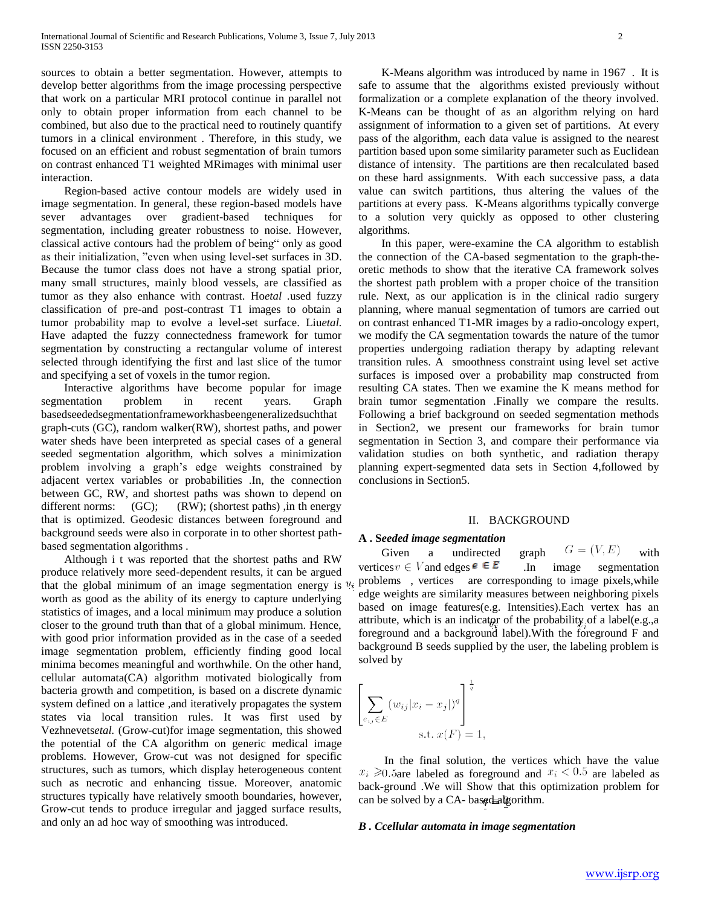sources to obtain a better segmentation. However, attempts to develop better algorithms from the image processing perspective that work on a particular MRI protocol continue in parallel not only to obtain proper information from each channel to be combined, but also due to the practical need to routinely quantify tumors in a clinical environment . Therefore, in this study, we focused on an efficient and robust segmentation of brain tumors on contrast enhanced T1 weighted MRimages with minimal user interaction.

 Region-based active contour models are widely used in image segmentation. In general, these region-based models have sever advantages over gradient-based techniques for segmentation, including greater robustness to noise. However, classical active contours had the problem of being" only as good as their initialization, "even when using level-set surfaces in 3D. Because the tumor class does not have a strong spatial prior, many small structures, mainly blood vessels, are classified as tumor as they also enhance with contrast. Ho*etal .*used fuzzy classification of pre-and post-contrast T1 images to obtain a tumor probability map to evolve a level-set surface. Liu*etal.*  Have adapted the fuzzy connectedness framework for tumor segmentation by constructing a rectangular volume of interest selected through identifying the first and last slice of the tumor and specifying a set of voxels in the tumor region.

 Interactive algorithms have become popular for image segmentation problem in recent years. Graph basedseededsegmentationframeworkhasbeengeneralizedsuchthat graph-cuts (GC), random walker(RW), shortest paths, and power water sheds have been interpreted as special cases of a general seeded segmentation algorithm, which solves a minimization problem involving a graph's edge weights constrained by adjacent vertex variables or probabilities .In, the connection between GC, RW, and shortest paths was shown to depend on different norms: (GC); (RW); (shortest paths) ,in the nergy that is optimized. Geodesic distances between foreground and background seeds were also in corporate in to other shortest pathbased segmentation algorithms .

 Although i t was reported that the shortest paths and RW produce relatively more seed-dependent results, it can be argued that the global minimum of an image segmentation energy is  $v_i$ worth as good as the ability of its energy to capture underlying statistics of images, and a local minimum may produce a solution closer to the ground truth than that of a global minimum. Hence, with good prior information provided as in the case of a seeded image segmentation problem, efficiently finding good local minima becomes meaningful and worthwhile. On the other hand, cellular automata(CA) algorithm motivated biologically from bacteria growth and competition, is based on a discrete dynamic system defined on a lattice ,and iteratively propagates the system states via local transition rules. It was first used by Vezhnevets*etal.* (Grow-cut)for image segmentation, this showed the potential of the CA algorithm on generic medical image problems. However, Grow-cut was not designed for specific structures, such as tumors, which display heterogeneous content such as necrotic and enhancing tissue. Moreover, anatomic structures typically have relatively smooth boundaries, however, Grow-cut tends to produce irregular and jagged surface results, and only an ad hoc way of smoothing was introduced.

 K-Means algorithm was introduced by name in 1967 . It is safe to assume that the algorithms existed previously without formalization or a complete explanation of the theory involved. K-Means can be thought of as an algorithm relying on hard assignment of information to a given set of partitions. At every pass of the algorithm, each data value is assigned to the nearest partition based upon some similarity parameter such as Euclidean distance of intensity. The partitions are then recalculated based on these hard assignments. With each successive pass, a data value can switch partitions, thus altering the values of the partitions at every pass. K-Means algorithms typically converge to a solution very quickly as opposed to other clustering algorithms.

 In this paper, were-examine the CA algorithm to establish the connection of the CA-based segmentation to the graph-theoretic methods to show that the iterative CA framework solves the shortest path problem with a proper choice of the transition rule. Next, as our application is in the clinical radio surgery planning, where manual segmentation of tumors are carried out on contrast enhanced T1-MR images by a radio-oncology expert, we modify the CA segmentation towards the nature of the tumor properties undergoing radiation therapy by adapting relevant transition rules. A smoothness constraint using level set active surfaces is imposed over a probability map constructed from resulting CA states. Then we examine the K means method for brain tumor segmentation .Finally we compare the results. Following a brief background on seeded segmentation methods in Section2, we present our frameworks for brain tumor segmentation in Section 3, and compare their performance via validation studies on both synthetic, and radiation therapy planning expert-segmented data sets in Section 4,followed by conclusions in Section5.

#### II. BACKGROUND

## **A . S***eeded image segmentation*

Given a undirected graph  $G = (V, E)$  with vertices  $v \in V$  and edges  $\epsilon \in E$  In image segmentation problems , vertices are corresponding to image pixels,while edge weights are similarity measures between neighboring pixels based on image features(e.g. Intensities).Each vertex has an attribute, which is an indicator of the probability of a label(e.g.,a foreground and a background label).With the foreground F and background B seeds supplied by the user, the labeling problem is solved by

$$
\left[\sum_{e_{ij}\in E} (w_{ij}|x_i - x_j|)^q\right]^{\frac{1}{q}}
$$
  
s.t.  $x(F) = 1$ 

 In the final solution, the vertices which have the value  $x_i \ge 0.5$  are labeled as foreground and  $x_i < 0.5$  are labeled as back-ground .We will Show that this optimization problem for can be solved by a CA- based algorithm.

#### *B . Ccellular automata in image segmentation*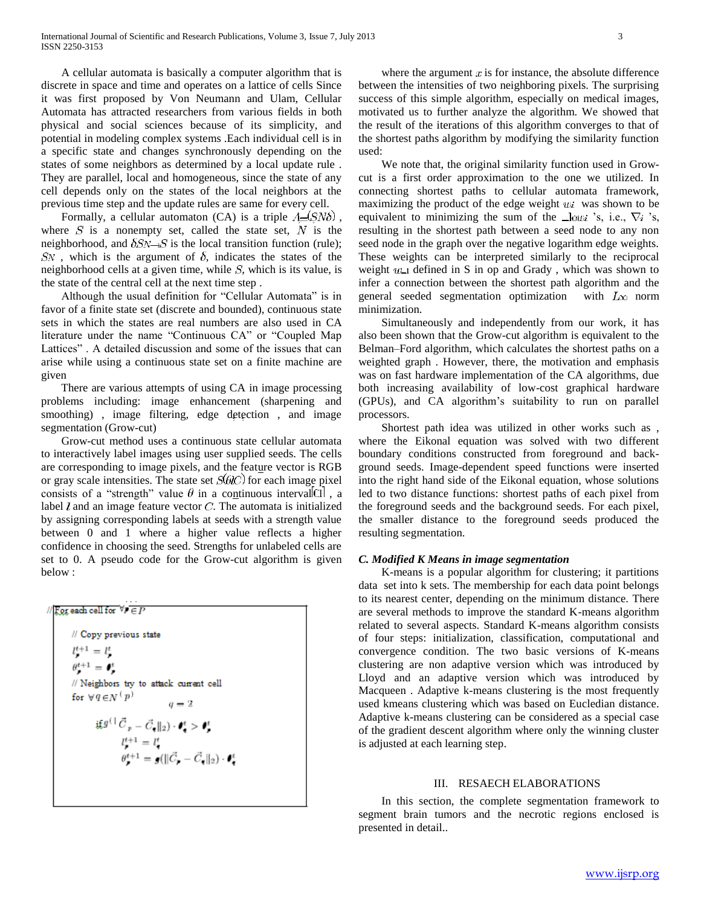A cellular automata is basically a computer algorithm that is discrete in space and time and operates on a lattice of cells Since it was first proposed by Von Neumann and Ulam, Cellular Automata has attracted researchers from various fields in both physical and social sciences because of its simplicity, and potential in modeling complex systems .Each individual cell is in a specific state and changes synchronously depending on the states of some neighbors as determined by a local update rule . They are parallel, local and homogeneous, since the state of any cell depends only on the states of the local neighbors at the previous time step and the update rules are same for every cell.

Formally, a cellular automaton (CA) is a triple  $\Lambda = (SN\delta)$ , where  $S$  is a nonempty set, called the state set,  $N$  is the neighborhood, and  $\delta S_N \rightarrow S$  is the local transition function (rule);  $SN$ , which is the argument of  $\delta$ , indicates the states of the neighborhood cells at a given time, while  $S$ , which is its value, is the state of the central cell at the next time step .

Although the usual definition for "Cellular Automata" is in favor of a finite state set (discrete and bounded), continuous state sets in which the states are real numbers are also used in CA literature under the name "Continuous CA" or "Coupled Map Lattices". A detailed discussion and some of the issues that can arise while using a continuous state set on a finite machine are given

 There are various attempts of using CA in image processing problems including: image enhancement (sharpening and smoothing) , image filtering, edge detection , and image segmentation (Grow-cut)

 Grow-cut method uses a continuous state cellular automata to interactively label images using user supplied seeds. The cells are corresponding to image pixels, and the feature vector is RGB or gray scale intensities. The state set  $S(\theta \infty)$  for each image pixel consists of a "strength" value  $\theta$  in a continuous interval  $\alpha$ , a label  $l$  and an image feature vector  $C$ . The automata is initialized by assigning corresponding labels at seeds with a strength value between 0 and 1 where a higher value reflects a higher confidence in choosing the seed. Strengths for unlabeled cells are set to 0. A pseudo code for the Grow-cut algorithm is given below :

// For each cell for  $\forall r \in F$ // Copy previous state  $l^{t+1} = l^{t}$  $\theta^{t+1} = \theta^t$ // Neighbors try to attack current cell for  $\forall q \in N^{\{p\}}$  <br>  $q = 2$  $\label{eq:Gauss} \mathbf{i} \mathbf{f}^{g(\cdot)} \, \vec{C}_{\,p} = \vec{C}_{\pmb{\tau}} \|_2 ) \cdot \pmb{\ell}_{\pmb{\tau}}^t > \pmb{\ell}_{\pmb{\tau}}^t$  $l_p^{t+1} = l_q^t$ <br>  $\theta_p^{t+1} = g(||\vec{C_p} - \vec{C_q}||_2) \cdot \theta_q^t$ 

where the argument  $x$  is for instance, the absolute difference between the intensities of two neighboring pixels. The surprising success of this simple algorithm, especially on medical images, motivated us to further analyze the algorithm. We showed that the result of the iterations of this algorithm converges to that of the shortest paths algorithm by modifying the similarity function used:

 We note that, the original similarity function used in Growcut is a first order approximation to the one we utilized. In connecting shortest paths to cellular automata framework, maximizing the product of the edge weight  $u_i$  was shown to be equivalent to minimizing the sum of the  $\Box$ lowi 's, i.e.,  $\nabla$ i's, resulting in the shortest path between a seed node to any non seed node in the graph over the negative logarithm edge weights. These weights can be interpreted similarly to the reciprocal weight  $w_1$  defined in S in op and Grady , which was shown to infer a connection between the shortest path algorithm and the general seeded segmentation optimization with  $L_{\infty}$  norm minimization.

 Simultaneously and independently from our work, it has also been shown that the Grow-cut algorithm is equivalent to the Belman–Ford algorithm, which calculates the shortest paths on a weighted graph . However, there, the motivation and emphasis was on fast hardware implementation of the CA algorithms, due both increasing availability of low-cost graphical hardware (GPUs), and CA algorithm's suitability to run on parallel processors.

 Shortest path idea was utilized in other works such as , where the Eikonal equation was solved with two different boundary conditions constructed from foreground and background seeds. Image-dependent speed functions were inserted into the right hand side of the Eikonal equation, whose solutions led to two distance functions: shortest paths of each pixel from the foreground seeds and the background seeds. For each pixel, the smaller distance to the foreground seeds produced the resulting segmentation.

# *C. Modified K Means in image segmentation*

 K-means is a popular algorithm for clustering; it partitions data set into k sets. The membership for each data point belongs to its nearest center, depending on the minimum distance. There are several methods to improve the standard K-means algorithm related to several aspects. Standard K-means algorithm consists of four steps: initialization, classification, computational and convergence condition. The two basic versions of K-means clustering are non adaptive version which was introduced by Lloyd and an adaptive version which was introduced by Macqueen . Adaptive k-means clustering is the most frequently used kmeans clustering which was based on Eucledian distance. Adaptive k-means clustering can be considered as a special case of the gradient descent algorithm where only the winning cluster is adjusted at each learning step.

## III. RESAECH ELABORATIONS

 In this section, the complete segmentation framework to segment brain tumors and the necrotic regions enclosed is presented in detail..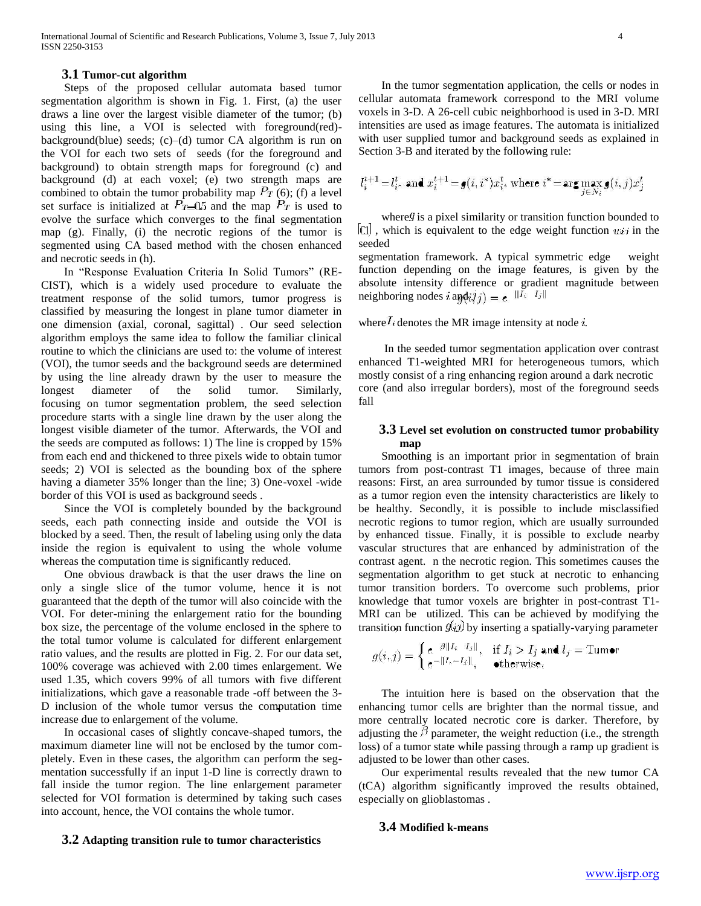## **3.1 Tumor-cut algorithm**

 Steps of the proposed cellular automata based tumor segmentation algorithm is shown in Fig. 1. First, (a) the user draws a line over the largest visible diameter of the tumor; (b) using this line, a VOI is selected with foreground(red) background(blue) seeds;  $(c)$ –(d) tumor CA algorithm is run on the VOI for each two sets of seeds (for the foreground and background) to obtain strength maps for foreground (c) and background (d) at each voxel; (e) two strength maps are combined to obtain the tumor probability map  $P_T$  (6); (f) a level set surface is initialized at  $P_{T=0.5}$  and the map  $P_T$  is used to evolve the surface which converges to the final segmentation map (g). Finally, (i) the necrotic regions of the tumor is segmented using CA based method with the chosen enhanced and necrotic seeds in (h).

In "Response Evaluation Criteria In Solid Tumors" (RE-CIST), which is a widely used procedure to evaluate the treatment response of the solid tumors, tumor progress is classified by measuring the longest in plane tumor diameter in one dimension (axial, coronal, sagittal) . Our seed selection algorithm employs the same idea to follow the familiar clinical routine to which the clinicians are used to: the volume of interest (VOI), the tumor seeds and the background seeds are determined by using the line already drawn by the user to measure the longest diameter of the solid tumor. Similarly, focusing on tumor segmentation problem, the seed selection procedure starts with a single line drawn by the user along the longest visible diameter of the tumor. Afterwards, the VOI and the seeds are computed as follows: 1) The line is cropped by 15% from each end and thickened to three pixels wide to obtain tumor seeds; 2) VOI is selected as the bounding box of the sphere having a diameter 35% longer than the line; 3) One-voxel -wide border of this VOI is used as background seeds .

 Since the VOI is completely bounded by the background seeds, each path connecting inside and outside the VOI is blocked by a seed. Then, the result of labeling using only the data inside the region is equivalent to using the whole volume whereas the computation time is significantly reduced.

 One obvious drawback is that the user draws the line on only a single slice of the tumor volume, hence it is not guaranteed that the depth of the tumor will also coincide with the VOI. For deter-mining the enlargement ratio for the bounding box size, the percentage of the volume enclosed in the sphere to the total tumor volume is calculated for different enlargement ratio values, and the results are plotted in Fig. 2. For our data set, 100% coverage was achieved with 2.00 times enlargement. We used 1.35, which covers 99% of all tumors with five different initializations, which gave a reasonable trade -off between the 3- D inclusion of the whole tumor versus the computation time increase due to enlargement of the volume.

 In occasional cases of slightly concave-shaped tumors, the maximum diameter line will not be enclosed by the tumor completely. Even in these cases, the algorithm can perform the segmentation successfully if an input 1-D line is correctly drawn to fall inside the tumor region. The line enlargement parameter selected for VOI formation is determined by taking such cases into account, hence, the VOI contains the whole tumor.

**3.2 Adapting transition rule to tumor characteristics**

 In the tumor segmentation application, the cells or nodes in cellular automata framework correspond to the MRI volume voxels in 3-D. A 26-cell cubic neighborhood is used in 3-D. MRI intensities are used as image features. The automata is initialized with user supplied tumor and background seeds as explained in Section 3-B and iterated by the following rule:

$$
l_i^{t+1} = l_i^t \text{ and } x_i^{t+1} = g(i, i^*) x_i^t \text{ where } i^* = \arg\max_{j \in N_i} g(i, j) x_j^t
$$

where  $\theta$  is a pixel similarity or transition function bounded to  $|01|$ , which is equivalent to the edge weight function  $u_{ij}$  in the seeded

segmentation framework. A typical symmetric edge weight function depending on the image features, is given by the absolute intensity difference or gradient magnitude between neighboring nodes  $i$  and  $i$ ,  $j$  =  $e^{-\|I_i - I_j\|}$ 

# where  $I_i$  denotes the MR image intensity at node  $i$ .

 In the seeded tumor segmentation application over contrast enhanced T1-weighted MRI for heterogeneous tumors, which mostly consist of a ring enhancing region around a dark necrotic core (and also irregular borders), most of the foreground seeds fall

## **3.3 Level set evolution on constructed tumor probability map**

 Smoothing is an important prior in segmentation of brain tumors from post-contrast T1 images, because of three main reasons: First, an area surrounded by tumor tissue is considered as a tumor region even the intensity characteristics are likely to be healthy. Secondly, it is possible to include misclassified necrotic regions to tumor region, which are usually surrounded by enhanced tissue. Finally, it is possible to exclude nearby vascular structures that are enhanced by administration of the contrast agent. n the necrotic region. This sometimes causes the segmentation algorithm to get stuck at necrotic to enhancing tumor transition borders. To overcome such problems, prior knowledge that tumor voxels are brighter in post-contrast T1- MRI can be utilized. This can be achieved by modifying the transition function  $g(x)$  by inserting a spatially-varying parameter

$$
g(i,j) = \begin{cases} e^{-\beta ||I_i - I_j||}, & \text{if } I_i > I_j \text{ and } I_j = \text{Turner} \\ e^{-||I_i - I_j||}, & \text{otherwise.} \end{cases}
$$

 The intuition here is based on the observation that the enhancing tumor cells are brighter than the normal tissue, and more centrally located necrotic core is darker. Therefore, by adjusting the  $\beta$  parameter, the weight reduction (i.e., the strength loss) of a tumor state while passing through a ramp up gradient is adjusted to be lower than other cases.

 Our experimental results revealed that the new tumor CA (tCA) algorithm significantly improved the results obtained, especially on glioblastomas .

## **3.4 Modified k-means**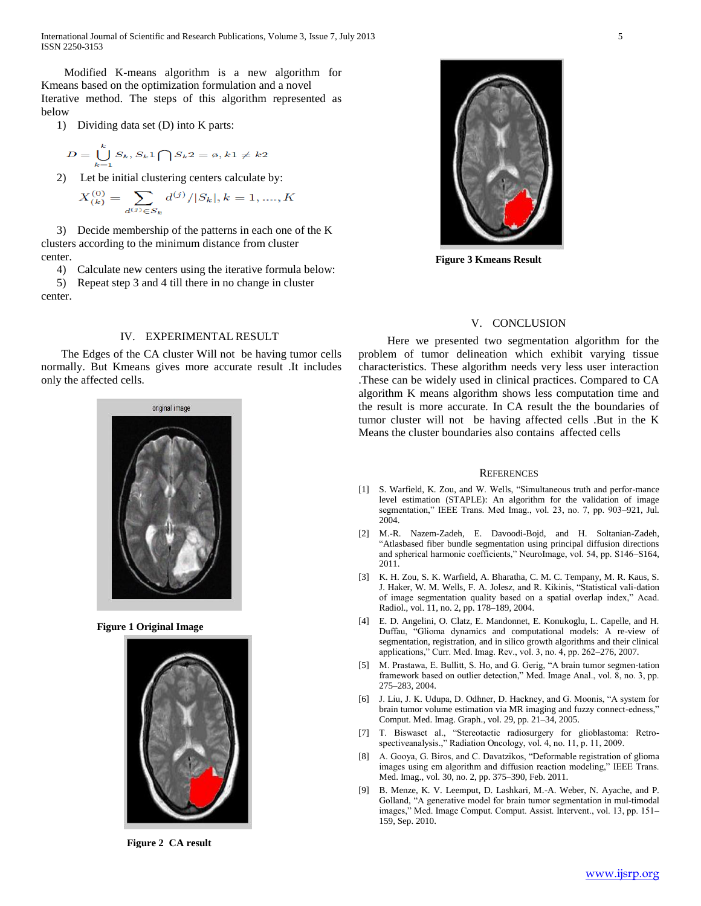International Journal of Scientific and Research Publications, Volume 3, Issue 7, July 2013 5 ISSN 2250-3153

 Modified K-means algorithm is a new algorithm for Kmeans based on the optimization formulation and a novel Iterative method. The steps of this algorithm represented as below

1) Dividing data set (D) into K parts:

$$
D = \bigcup_{k=1}^{k} S_k, S_k 1 \bigcap S_k 2 = \emptyset, k1 \neq k2
$$

2) Let be initial clustering centers calculate by:

$$
X_{(k)}^{(0)} = \sum_{d^{(j)} \in S_k} d^{(j)}/|S_k|, k = 1, \dots, K
$$

3) Decide membership of the patterns in each one of the K clusters according to the minimum distance from cluster center.

4) Calculate new centers using the iterative formula below:

5) Repeat step 3 and 4 till there in no change in cluster center.

## IV. EXPERIMENTAL RESULT

 The Edges of the CA cluster Will not be having tumor cells normally. But Kmeans gives more accurate result .It includes only the affected cells.



**Figure 1 Original Image**



**Figure 2 CA result**



**Figure 3 Kmeans Result**

#### V. CONCLUSION

 Here we presented two segmentation algorithm for the problem of tumor delineation which exhibit varying tissue characteristics. These algorithm needs very less user interaction .These can be widely used in clinical practices. Compared to CA algorithm K means algorithm shows less computation time and the result is more accurate. In CA result the the boundaries of tumor cluster will not be having affected cells .But in the K Means the cluster boundaries also contains affected cells

#### **REFERENCES**

- [1] S. Warfield, K. Zou, and W. Wells, "Simultaneous truth and perfor-mance level estimation (STAPLE): An algorithm for the validation of image segmentation," IEEE Trans. Med Imag., vol. 23, no. 7, pp. 903-921, Jul. 2004.
- [2] M.-R. Nazem-Zadeh, E. Davoodi-Bojd, and H. Soltanian-Zadeh, ―Atlasbased fiber bundle segmentation using principal diffusion directions and spherical harmonic coefficients," NeuroImage, vol. 54, pp. S146-S164, 2011.
- [3] K. H. Zou, S. K. Warfield, A. Bharatha, C. M. C. Tempany, M. R. Kaus, S. J. Haker, W. M. Wells, F. A. Jolesz, and R. Kikinis, "Statistical vali-dation of image segmentation quality based on a spatial overlap index," Acad. Radiol., vol. 11, no. 2, pp. 178–189, 2004.
- [4] E. D. Angelini, O. Clatz, E. Mandonnet, E. Konukoglu, L. Capelle, and H. Duffau, "Glioma dynamics and computational models: A re-view of segmentation, registration, and in silico growth algorithms and their clinical applications," Curr. Med. Imag. Rev., vol. 3, no. 4, pp. 262-276, 2007.
- [5] M. Prastawa, E. Bullitt, S. Ho, and G. Gerig, "A brain tumor segmen-tation framework based on outlier detection," Med. Image Anal., vol. 8, no. 3, pp. 275–283, 2004.
- [6] J. Liu, J. K. Udupa, D. Odhner, D. Hackney, and G. Moonis, "A system for brain tumor volume estimation via MR imaging and fuzzy connect-edness," Comput. Med. Imag. Graph., vol. 29, pp. 21–34, 2005.
- [7] T. Biswaset al., "Stereotactic radiosurgery for glioblastoma: Retrospectiveanalysis.," Radiation Oncology, vol. 4, no. 11, p. 11, 2009.
- [8] A. Gooya, G. Biros, and C. Davatzikos, "Deformable registration of glioma images using em algorithm and diffusion reaction modeling," IEEE Trans. Med. Imag., vol. 30, no. 2, pp. 375–390, Feb. 2011.
- [9] B. Menze, K. V. Leemput, D. Lashkari, M.-A. Weber, N. Ayache, and P. Golland, "A generative model for brain tumor segmentation in mul-timodal images," Med. Image Comput. Comput. Assist. Intervent., vol. 13, pp. 151– 159, Sep. 2010.